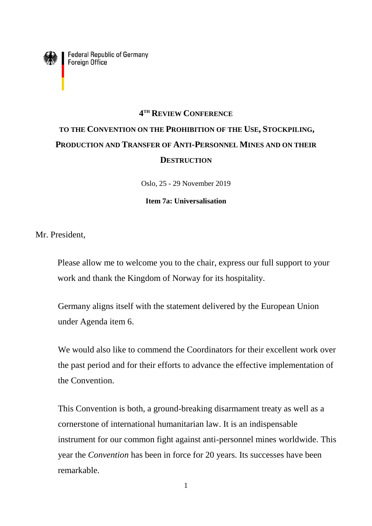

**Federal Republic of Germany**<br>Foreign Office

## **4 TH REVIEW CONFERENCE TO THE CONVENTION ON THE PROHIBITION OF THE USE, STOCKPILING, PRODUCTION AND TRANSFER OF ANTI-PERSONNEL MINES AND ON THEIR DESTRUCTION**

Oslo, 25 - 29 November 2019

## **Item 7a: Universalisation**

Mr. President,

Please allow me to welcome you to the chair, express our full support to your work and thank the Kingdom of Norway for its hospitality.

Germany aligns itself with the statement delivered by the European Union under Agenda item 6.

We would also like to commend the Coordinators for their excellent work over the past period and for their efforts to advance the effective implementation of the Convention.

This Convention is both, a ground-breaking disarmament treaty as well as a cornerstone of international humanitarian law. It is an indispensable instrument for our common fight against anti-personnel mines worldwide. This year the *Convention* has been in force for 20 years. Its successes have been remarkable.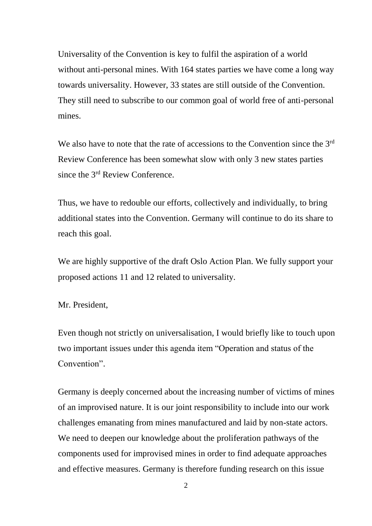Universality of the Convention is key to fulfil the aspiration of a world without anti-personal mines. With 164 states parties we have come a long way towards universality. However, 33 states are still outside of the Convention. They still need to subscribe to our common goal of world free of anti-personal mines.

We also have to note that the rate of accessions to the Convention since the 3<sup>rd</sup> Review Conference has been somewhat slow with only 3 new states parties since the 3rd Review Conference.

Thus, we have to redouble our efforts, collectively and individually, to bring additional states into the Convention. Germany will continue to do its share to reach this goal.

We are highly supportive of the draft Oslo Action Plan. We fully support your proposed actions 11 and 12 related to universality.

## Mr. President,

Even though not strictly on universalisation, I would briefly like to touch upon two important issues under this agenda item "Operation and status of the Convention".

Germany is deeply concerned about the increasing number of victims of mines of an improvised nature. It is our joint responsibility to include into our work challenges emanating from mines manufactured and laid by non-state actors. We need to deepen our knowledge about the proliferation pathways of the components used for improvised mines in order to find adequate approaches and effective measures. Germany is therefore funding research on this issue

2